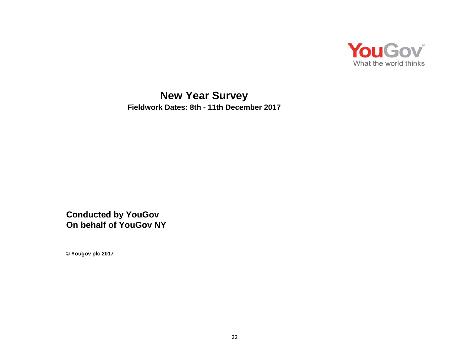

**New Year Survey Fieldwork Dates: 8th - 11th December 2017**

**Conducted by YouGov On behalf of YouGov NY**

**© Yougov plc 2017**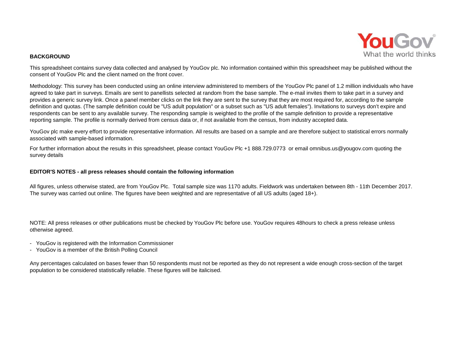

#### **BACKGROUND**

This spreadsheet contains survey data collected and analysed by YouGov plc. No information contained within this spreadsheet may be published without the consent of YouGov Plc and the client named on the front cover.

Methodology: This survey has been conducted using an online interview administered to members of the YouGov Plc panel of 1.2 million individuals who have agreed to take part in surveys. Emails are sent to panellists selected at random from the base sample. The e-mail invites them to take part in a survey and provides a generic survey link. Once a panel member clicks on the link they are sent to the survey that they are most required for, according to the sample definition and quotas. (The sample definition could be "US adult population" or a subset such as "US adult females"). Invitations to surveys don't expire and respondents can be sent to any available survey. The responding sample is weighted to the profile of the sample definition to provide a representative reporting sample. The profile is normally derived from census data or, if not available from the census, from industry accepted data.

YouGov plc make every effort to provide representative information. All results are based on a sample and are therefore subject to statistical errors normally associated with sample-based information.

For further information about the results in this spreadsheet, please contact YouGov Plc +1 888.729.0773 or email omnibus.us@yougov.com quoting the survey details

#### **EDITOR'S NOTES - all press releases should contain the following information**

All figures, unless otherwise stated, are from YouGov Plc. Total sample size was 1170 adults. Fieldwork was undertaken between 8th - 11th December 2017. The survey was carried out online. The figures have been weighted and are representative of all US adults (aged 18+).

NOTE: All press releases or other publications must be checked by YouGov Plc before use. YouGov requires 48hours to check a press release unless otherwise agreed.

- YouGov is registered with the Information Commissioner
- YouGov is a member of the British Polling Council

Any percentages calculated on bases fewer than 50 respondents must not be reported as they do not represent a wide enough cross-section of the target population to be considered statistically reliable. These figures will be italicised.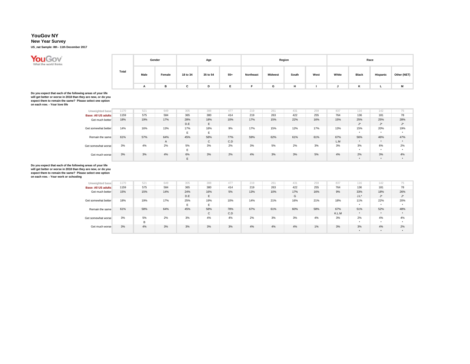#### **New Year Survey**

**US\_nat Sample: 8th - 11th December 2017**



|       |              | Gender |          | Age      |       |           |                | Region |      |       |       | Race     |             |
|-------|--------------|--------|----------|----------|-------|-----------|----------------|--------|------|-------|-------|----------|-------------|
| Total | Male         | Female | 18 to 34 | 35 to 54 | $55+$ | Northeast | <b>Midwest</b> | South  | West | White | Black | Hispanic | Other (NET) |
|       | $\mathbf{r}$ | в      | С        | D        |       |           | G              | н      |      |       | ĸ     |          | М           |

Do you expect that each of the following areas of your life<br>will get better or worse in 2018 than they are now, or do you<br>expect them to remain the same? Please select one option<br>on each row. - Your love life

| Unweighted base            | 1170 | 521 | 649          | 305 | 388 | 477 | 219 | 261 | 431 | 259 | 837 | 116       | 142       | 75        |
|----------------------------|------|-----|--------------|-----|-----|-----|-----|-----|-----|-----|-----|-----------|-----------|-----------|
| <b>Base: All US adults</b> | 1159 | 575 | 584          | 365 | 380 | 414 | 219 | 263 | 422 | 255 | 764 | 136       | 181       | 78        |
| Get much better            | 18%  | 19% | 17%          | 28% | 18% | 10% | 17% | 15% | 22% | 16% | 15% | 25%       | 25%       | 28%       |
|                            |      |     |              | D.E | Е   |     |     |     |     |     |     | J         | J         | $1 +$     |
| Get somewhat better        | 14%  | 16% | 13%          | 17% | 18% | 9%  | 17% | 15% | 12% | 17% | 13% | 15%       | 20%       | 19%       |
|                            |      |     |              |     | E   |     |     |     |     |     |     | $\bullet$ | $\bullet$ | $\ddot{}$ |
| Remain the same            | 61%  | 57% | 64%          | 45% | 58% | 77% | 59% | 62% | 61% | 61% | 67% | 56%       | 46%       | 47%       |
|                            |      |     | $\mathsf{A}$ |     | С   | C.D |     |     |     |     | L.M | $\bullet$ | $\bullet$ | ۰         |
| Get somewhat worse         | 3%   | 4%  | 2%           | 5%  | 3%  | 2%  | 3%  | 5%  | 2%  | 3%  | 3%  | 3%        | 6%        | 2%        |
|                            |      |     |              |     |     |     |     |     |     |     |     |           | $\bullet$ |           |
| Get much worse             | 3%   | 3%  | 4%           | 6%  | 3%  | 2%  | 4%  | 3%  | 3%  | 5%  | 4%  | 2%        | 3%        | 4%        |
|                            |      |     |              |     |     |     |     |     |     |     |     | $\bullet$ | $\bullet$ | ۰         |

| Unweighted base            | 1170 | 521 | 649 | 305 | 388          | 477 | 219 | 261 | 431 | 259 | 837   | 116       | 142       | 75            |
|----------------------------|------|-----|-----|-----|--------------|-----|-----|-----|-----|-----|-------|-----------|-----------|---------------|
| <b>Base: All US adults</b> | 1159 | 575 | 584 | 365 | 380          | 414 | 219 | 263 | 422 | 255 | 764   | 136       | 181       | 78            |
| Get much better            | 15%  | 15% | 14% | 24% | 16%          | 5%  | 13% | 10% | 17% | 16% | 9%    | 33%       | 18%       | 26%           |
|                            |      |     |     | D.E | Е            |     |     |     | G   |     |       | $J.L^*$   | $J^*$     | $1*$<br>J     |
| Get somewhat better        | 18%  | 19% | 17% | 25% | 19%          | 10% | 14% | 21% | 16% | 21% | 18%   | 11%       | 22%       | 20%           |
|                            |      |     |     | E.  | E            |     |     |     |     |     |       | $\bullet$ |           | $\cdot$       |
| Remain the same            | 61%  | 58% | 64% | 45% | 58%          | 78% | 67% | 61% | 60% | 58% | 67%   | 51%       | 52%       | 48%           |
|                            |      |     |     |     | $\mathsf{C}$ | C.D |     |     |     |     | K.L.M | $\bullet$ |           | $\bullet$     |
| Get somewhat worse         | 3%   | 5%  | 2%  | 3%  | 4%           | 4%  | 2%  | 3%  | 3%  | 4%  | 3%    | 2%        | 4%        | 4%            |
|                            |      | B   |     |     |              |     |     |     |     |     |       |           |           | $\bullet$     |
| Get much worse             | 3%   | 4%  | 3%  | 3%  | 3%           | 3%  | 4%  | 4%  | 4%  | 1%  | 3%    | 3%        | 4%        | 2%            |
|                            |      |     |     |     |              |     |     |     |     |     |       | $\bullet$ | $\bullet$ | $\rightarrow$ |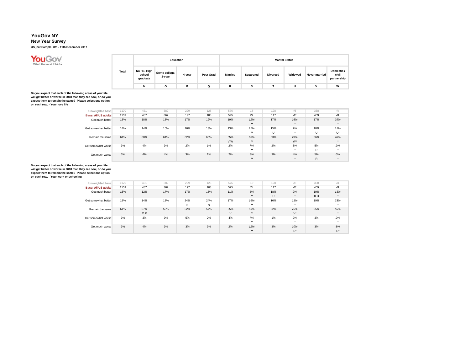#### **New Year Survey**

**US\_nat Sample: 8th - 11th December 2017**



|       |                                   |                         | Education |                  |                |           |                 | <b>Marital Status</b> |                      |                                    |
|-------|-----------------------------------|-------------------------|-----------|------------------|----------------|-----------|-----------------|-----------------------|----------------------|------------------------------------|
| Total | No HS, High<br>school<br>graduate | Some college,<br>2-year | 4-year    | <b>Post Grad</b> | <b>Married</b> | Separated | <b>Divorced</b> | Widowed               | <b>Never married</b> | Domestic /<br>civil<br>partnership |
|       | N                                 | ο                       | D         |                  | R              |           |                 |                       | v                    | W                                  |

Do you expect that each of the following areas of your life<br>will get better or worse in 2018 than they are now, or do you<br>expect them to remain the same? Please select one option<br>on each row. - Your love life

| Unweighted base     | 1170 | 431 | 382 | 229 | 128 | 576        | 18           | 128      | 45               | 358      | 44        |
|---------------------|------|-----|-----|-----|-----|------------|--------------|----------|------------------|----------|-----------|
| Base: All US adults | 1159 | 487 | 367 | 197 | 108 | 525        | 24           | 117      | 43               | 409      | 41        |
| Get much better     | 18%  | 18% | 18% | 17% | 19% | 19%        | 12%<br>$***$ | 17%      | 16%<br>$\bullet$ | 17%      | 29%       |
| Get somewhat better | 14%  | 14% | 15% | 16% | 13% | 13%        | 15%<br>$***$ | 15%<br>U | 2%<br>$\bullet$  | 18%<br>U | 15%<br>U* |
| Remain the same     | 61%  | 60% | 61% | 62% | 66% | 65%<br>V.W | 63%<br>$***$ | 63%      | 73%<br>W*        | 56%      | 48%       |
| Get somewhat worse  | 3%   | 4%  | 3%  | 2%  | 1%  | 2%         | 7%<br>$***$  | 2%       | 5%<br>$\bullet$  | 5%<br>R  | 2%        |
| Get much worse      | 3%   | 4%  | 4%  | 3%  | 1%  | 2%         | 3%<br>$***$  | 3%       | 4%<br>$\bullet$  | 5%<br>R  | 6%        |

| Unweighted base            | 1170 | 431 | 382 | 229 | 128 | 576    | 18    | 128 | 45        | 358 | 44    |
|----------------------------|------|-----|-----|-----|-----|--------|-------|-----|-----------|-----|-------|
| <b>Base: All US adults</b> | 1159 | 487 | 367 | 197 | 108 | 525    | 24    | 117 | 43        | 409 | 41    |
| Get much better            | 15%  | 12% | 17% | 17% | 15% | 11%    | 6%    | 18% | 2%        | 19% | 13%   |
|                            |      |     |     |     |     |        | $***$ | U   | ۰         | R.U |       |
| Get somewhat better        | 18%  | 14% | 18% | 24% | 24% | 17%    | 16%   | 16% | 11%       | 19% | 23%   |
|                            |      |     |     | N   | N   |        | $+ +$ |     | $\bullet$ |     |       |
| Remain the same            | 61%  | 67% | 59% | 52% | 57% | 65%    | 59%   | 62% | 76%       | 55% | 55%   |
|                            |      | O.P |     |     |     | $\vee$ | $***$ |     | $V^*$     |     |       |
| Get somewhat worse         | 3%   | 3%  | 3%  | 5%  | 2%  | 4%     | 7%    | 1%  | 2%        | 3%  | 2%    |
|                            |      |     |     |     |     |        | $***$ |     | $\bullet$ |     |       |
| Get much worse             | 3%   | 4%  | 3%  | 3%  | 3%  | 2%     | 12%   | 3%  | 10%       | 3%  | 8%    |
|                            |      |     |     |     |     |        | $***$ |     | $R^*$     |     | $R^*$ |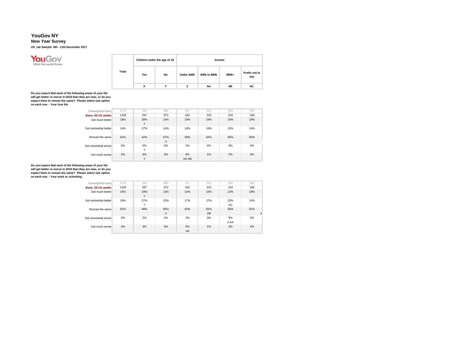#### **New Year Survey**

**US\_nat Sample: 8th - 11th December 2017**



|       |     | Children under the age of 18 |             | Income         |        |                      |
|-------|-----|------------------------------|-------------|----------------|--------|----------------------|
| Total | Yes | No                           | Under \$40k | \$40k to \$80k | \$80k+ | Prefer not to<br>say |
|       | x   | v                            | 7           | AA             | AB     | AC                   |

Do you expect that each of the following areas of your life<br>will get better or worse in 2018 than they are now, or do you<br>expect them to remain the same? Please select one option<br>on each row. - Your love life

| Unweighted base     | 1170 | 284      | 885      | 417         | 322 | 265 | 166 |
|---------------------|------|----------|----------|-------------|-----|-----|-----|
| Base: All US adults | 1159 | 287      | 872      | 442         | 315 | 234 | 168 |
| Get much better     | 18%  | 30%<br>Y | 14%      | 19%         | 19% | 16% | 18% |
| Get somewhat better | 14%  | 17%      | 14%      | 14%         | 14% | 15% | 14% |
| Remain the same     | 61%  | 42%      | 67%<br>X | 58%         | 62% | 65% | 60% |
| Get somewhat worse  | 3%   | 5%<br>Y  | 2%       | 2%          | 4%  | 3%  | 4%  |
| Get much worse      | 3%   | 6%<br>Y  | 3%       | 6%<br>AA.AB | 1%  | 2%  | 3%  |

| Unweighted base            | 1170 | 284                 | 885             | 417      | 322       | 265        | 166      |
|----------------------------|------|---------------------|-----------------|----------|-----------|------------|----------|
| <b>Base: All US adults</b> | 1159 | 287                 | 872             | 442      | 315       | 234        | 168      |
| Get much better            | 15%  | 19%<br>Y            | 13%             | 14%      | 15%       | 12%        | 19%      |
| Get somewhat better        | 18%  | 27%<br>$\checkmark$ | 15%             | 17%      | 17%       | 23%<br>AC. | 14%      |
| Remain the same            | 61%  | 48%                 | 65%<br>$\times$ | 62%      | 65%<br>AB | 55%        | 61%<br>A |
| Get somewhat worse         | 3%   | 2%                  | 4%              | 2%       | 3%        | 8%<br>Z.AA | 3%       |
| Get much worse             | 3%   | 3%                  | 3%              | 5%<br>AA | 1%        | 3%         | 4%       |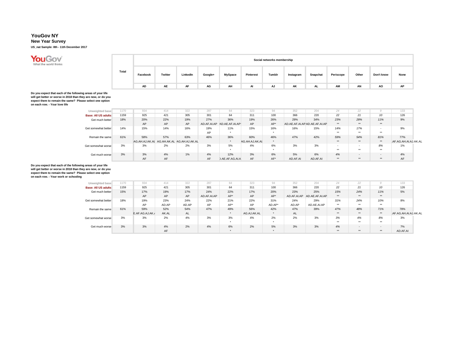### **New Year Survey**

**US\_nat Sample: 8th - 11th December 2017**

# **You Gov**

|       |          |         |          |         |                |           | Social networks membership |           |           |           |       |            |      |
|-------|----------|---------|----------|---------|----------------|-----------|----------------------------|-----------|-----------|-----------|-------|------------|------|
| Total | Facebook | Twitter | LinkedIn | Google+ | <b>MySpace</b> | Pinterest | Tumblr                     | Instagram | Snapchat  | Periscope | Other | Don't know | None |
|       | AD       | AE      | AF       | AG      | AH             | AI        | AJ                         | AK        | <b>AL</b> | AM        | AN    | AO         | AP   |

Do you expect that each of the following areas of your life<br>will get better or worse in 2018 than they are now, or do you<br>expect them to remain the same? Please select one option<br>on each row. - Your love life

| Unweighted base            | 1170 | 934                                       | 414 | 322 | 287 | 64                         | 323            | 94      | 352      | 204                           | 24                       | 22     |        | 133                  |
|----------------------------|------|-------------------------------------------|-----|-----|-----|----------------------------|----------------|---------|----------|-------------------------------|--------------------------|--------|--------|----------------------|
| <b>Base: All US adults</b> | 1159 | 925                                       | 421 | 305 | 301 | 64                         | 311            | 100     | 366      | 220                           | 22                       | 21     | 10     | 126                  |
| Get much better            | 18%  | 20%                                       | 22% | 19% | 27% | 36%                        | 19%            | 26%     | 29%      | 34%                           | 23%                      | 28%    | 11%    | 9%                   |
|                            |      | AP                                        | AP  | AP  |     | AD.AF.AI.AP AD.AE.AF.AI.AP | AP             | $AP^*$  |          | AD.AE.AF.AI.AP AD.AE.AF.AI.AP | $***$                    | $***$  | **     |                      |
| Get somewhat better        | 14%  | 15%                                       | 14% | 16% | 19% | 11%                        | 15%            | 16%     | 16%      | 15%                           | 14%                      | 17%    | $\sim$ | 9%                   |
|                            |      |                                           |     |     | AP  | $\bullet$                  |                |         |          |                               | $***$                    | $***$  | $***$  |                      |
| Remain the same            | 61%  | 58%                                       | 57% | 63% | 46% | 36%                        | 60%            | 46%     | 47%      | 42%                           | 59%                      | 54%    | 81%    | 77%                  |
|                            |      | AG.AH.AJ.AK.AL AG.AH.AK.AL AG.AH.AJ.AK.AL |     |     |     | $\bullet$                  | AG.AH.AJ.AK.AL | $\cdot$ |          |                               | **                       | **     | **     | AF.AG.AH.AI.AJ.AK.AL |
| Get somewhat worse         | 3%   | 3%                                        | 2%  | 2%  | 3%  | 5%                         | 4%             | 6%      | 3%       | 3%                            | $\overline{\phantom{a}}$ | $\sim$ | 8%     | 1%                   |
|                            |      |                                           |     |     |     | $\bullet$                  |                |         |          |                               | $+ +$                    | $+ +$  | $***$  |                      |
| Get much worse             | 3%   | 3%                                        | 4%  | 1%  | 4%  | 12%                        | 3%             | 6%      | 5%       | 6%                            | 4%                       | $\sim$ | $\sim$ | 4%                   |
|                            |      | AF                                        | AF  |     | AF  | D.AE.AF.AG.AI.A            | AF             | AF*     | AD.AF.AI | AD.AF.AI                      | **                       | **     | **     | AF                   |

| Unweighted base            | 1170 | 934             | 414   | 322   | 287         | 64        | 323         | 94      | 352         | 204            | 24    | 22                       |                          | 133                   |
|----------------------------|------|-----------------|-------|-------|-------------|-----------|-------------|---------|-------------|----------------|-------|--------------------------|--------------------------|-----------------------|
| <b>Base: All US adults</b> | 1159 | 925             | 421   | 305   | 301         | 64        | 311         | 100     | 366         | 220            | 22    | 21                       | 10                       | 126                   |
| Get much better            | 15%  | 17%             | 19%   | 17%   | 24%         | 22%       | 17%         | 20%     | 23%         | 25%            | 15%   | 24%                      | 11%                      | 5%                    |
|                            |      | AP              | AP    | AP    | AD.AF.AI.AP | AP*       | AP          | $AP^*$  | AD.AF.AI.AP | AD.AE.AF.AI.AP | **    | **                       | **                       |                       |
| Get somewhat better        | 18%  | 19%             | 23%   | 24%   | 22%         | 21%       | 22%         | 31%     | 24%         | 29%            | 31%   | 24%                      | 10%                      | 8%                    |
|                            |      | AP              | AD.AP | AD.AP | AP          | AP*       | AP          | AD.AP*  | AD.AP       | AD.AE.AI.AP    | $+ +$ | $***$                    | $***$                    |                       |
| Remain the same            | 61%  | 59%             | 52%   | 54%   | 47%         | 49%       | 56%         | 42%     | 47%         | 39%            | 47%   | 48%                      | 71%                      | 78%                   |
|                            |      | E.AF.AG.AJ.AK./ | AK.AL | AL.   |             |           | AG.AJ.AK.AL | $\cdot$ | <b>AL</b>   |                | **    | $***$                    | **                       | .AF.AG.AH.AI.AJ.AK.AL |
| Get somewhat worse         | 3%   | 3%              | 2%    | 4%    | 3%          | 3%        | 4%          | 2%      | 2%          | 3%             | 3%    | 4%                       | 8%                       | 3%                    |
|                            |      |                 |       |       |             | $\bullet$ |             |         |             |                | $+ +$ | $+ +$                    | $***$                    |                       |
| Get much worse             | 3%   | 3%              | 4%    | 2%    | 4%          | 6%        | 2%          | 5%      | 3%          | 3%             | 4%    | $\overline{\phantom{a}}$ | $\overline{\phantom{a}}$ | 7%                    |
|                            |      |                 | AF    |       |             | $\cdot$   |             | ٠       |             |                | **    | **                       | **                       | AD.AF.AI              |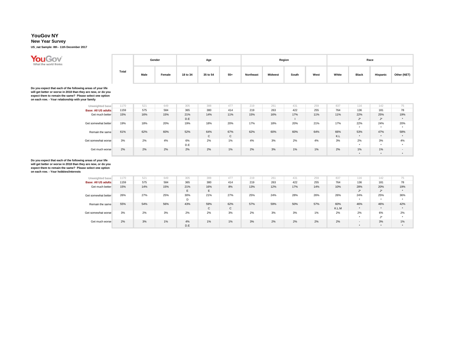### **New Year Survey**

**US\_nat Sample: 8th - 11th December 2017**



|       |      | Gender |          | Age      |       |                  |                | Region |      |       |              | Race            |             |
|-------|------|--------|----------|----------|-------|------------------|----------------|--------|------|-------|--------------|-----------------|-------------|
| Total | Male | Female | 18 to 34 | 35 to 54 | $55+$ | <b>Northeast</b> | <b>Midwest</b> | South  | West | White | <b>Black</b> | <b>Hispanic</b> | Other (NET) |

Do you expect that each of the following areas of your life<br>will get better or worse in 2018 than they are now, or do you<br>expect them to remain the same? Please select one option<br>on each row. - Your relationship with your

| Unweighted base            | 1170 | 521 | 649 | 305 | 388 | 477   | 219 | 261 | 431 | 259 | 837 | 116             | 142             | 75                       |
|----------------------------|------|-----|-----|-----|-----|-------|-----|-----|-----|-----|-----|-----------------|-----------------|--------------------------|
| <b>Base: All US adults</b> | 1159 | 575 | 584 | 365 | 380 | 414   | 219 | 263 | 422 | 255 | 764 | 136             | 181             | 78                       |
| Get much better            | 15%  | 16% | 15% | 21% | 14% | 11%   | 15% | 16% | 17% | 11% | 11% | 22%             | 25%             | 19%                      |
|                            |      |     |     | D.E |     |       |     |     |     |     |     | $1*$<br>$\cdot$ | $1*$<br>$\cdot$ |                          |
| Get somewhat better        | 19%  | 18% | 20% | 19% | 18% | 20%   | 17% | 18% | 20% | 21% | 17% | 22%             | 24%             | 20%                      |
|                            |      |     |     |     |     |       |     |     |     |     |     | $\bullet$       | ٠               |                          |
| Remain the same            | 61%  | 62% | 60% | 52% | 64% | 67%   | 62% | 60% | 60% | 64% | 66% | 53%             | 47%             | 58%                      |
|                            |      |     |     |     | C   | C     |     |     |     |     | K.L | $\bullet$       | $\bullet$       | <b>A</b>                 |
| Get somewhat worse         | 3%   | 2%  | 4%  | 6%  | 2%  | 1%    | 4%  | 3%  | 2%  | 4%  | 3%  | 2%              | 3%              | 4%                       |
|                            |      |     |     | D.E |     |       |     |     |     |     |     | $\bullet$       | ٠               |                          |
| Get much worse             | 2%   | 2%  | 2%  | 2%  | 2%  | $1\%$ | 2%  | 3%  | 1%  | 1%  | 2%  | 1%              | 1%              | $\overline{\phantom{a}}$ |
|                            |      |     |     |     |     |       |     |     |     |     |     | $\bullet$       | $\bullet$       |                          |

| Unweighted base            | 1170 | 521 | 649 | 305 | 388 | 477   | 219 | 261 | 431 | 259 | 837   | 116         | 142              | 75        |
|----------------------------|------|-----|-----|-----|-----|-------|-----|-----|-----|-----|-------|-------------|------------------|-----------|
| <b>Base: All US adults</b> | 1159 | 575 | 584 | 365 | 380 | 414   | 219 | 263 | 422 | 255 | 764   | 136         | 181              | 78        |
| Get much better            | 15%  | 14% | 15% | 21% | 16% | 8%    | 13% | 12% | 17% | 14% | 10%   | 28%         | 20%              | 19%       |
|                            |      |     |     | E   | E   |       |     |     |     |     |       | $J^{\star}$ | $1 +$<br>$\cdot$ | $\bullet$ |
| Get somewhat better        | 26%  | 27% | 25% | 30% | 21% | 27%   | 25% | 24% | 28% | 26% | 26%   | 24%         | 25%              | 36%       |
|                            |      |     |     | D   |     |       |     |     |     |     |       | $\cdot$     | $\bullet$        | ۰         |
| Remain the same            | 55%  | 54% | 56% | 43% | 59% | 62%   | 57% | 59% | 50% | 57% | 60%   | 46%         | 46%              | 42%       |
|                            |      |     |     |     | C   | C     |     |     |     |     | K.L.M | $\star$     | $\bullet$        | $\ddot{}$ |
| Get somewhat worse         | 3%   | 2%  | 3%  | 2%  | 2%  | 3%    | 2%  | 3%  | 3%  | 1%  | 2%    | 2%          | 6%               | 2%        |
|                            |      |     |     |     |     |       |     |     |     |     |       | $\bullet$   | $1 +$<br>J       |           |
| Get much worse             | 2%   | 3%  | 1%  | 4%  | 1%  | $1\%$ | 3%  | 2%  | 2%  | 2%  | 2%    | $\sim$      | 3%               | 1%        |
|                            |      |     |     | D.E |     |       |     |     |     |     |       | $\bullet$   | $\bullet$        | $\ddot{}$ |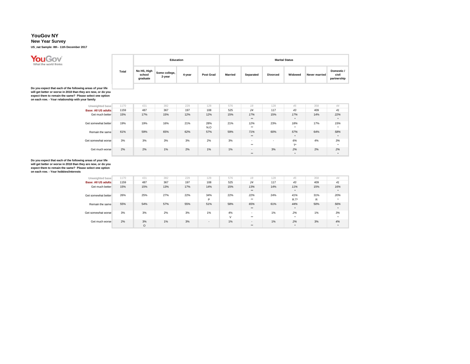**You Gov** 

### **New Year Survey**

**US\_nat Sample: 8th - 11th December 2017**

|       |                                   |                         | Education |                  |                |           |                 | <b>Marital Status</b> |               |                                    |
|-------|-----------------------------------|-------------------------|-----------|------------------|----------------|-----------|-----------------|-----------------------|---------------|------------------------------------|
| Total | No HS, High<br>school<br>graduate | Some college,<br>2-year | 4-year    | <b>Post Grad</b> | <b>Married</b> | Separated | <b>Divorced</b> | Widowed               | Never married | Domestic /<br>civil<br>partnership |

Do you expect that each of the following areas of your life<br>will get better or worse in 2018 than they are now, or do you<br>expect them to remain the same? Please select one option<br>on each row. - Your relationship with your

| Unweighted base            | 1170 | 431 | 382 | 229 | 128        | 576 | 18                                               | 128                      | 45               | 358 | 44                          |
|----------------------------|------|-----|-----|-----|------------|-----|--------------------------------------------------|--------------------------|------------------|-----|-----------------------------|
| <b>Base: All US adults</b> | 1159 | 487 | 367 | 197 | 108        | 525 | 24                                               | 117                      | 43               | 409 | 41                          |
| Get much better            | 15%  | 17% | 15% | 12% | 12%        | 15% | 17%<br>$***$                                     | 15%                      | 17%              | 14% | 22%                         |
| Get somewhat better        | 19%  | 19% | 16% | 21% | 28%<br>N.O | 21% | 12%<br>$***$                                     | 23%                      | 18%<br>$\bullet$ | 17% | 15%<br>$\ddot{\phantom{1}}$ |
| Remain the same            | 61%  | 59% | 65% | 62% | 57%        | 59% | 71%<br>$***$                                     | 60%                      | 57%<br>٠         | 64% | 58%                         |
| Get somewhat worse         | 3%   | 3%  | 3%  | 3%  | 2%         | 3%  | $\overline{\phantom{a}}$<br>$\ddot{\phantom{0}}$ | $\overline{\phantom{a}}$ | 6%<br>$T^*$      | 4%  | 3%<br>۰                     |
| Get much worse             | 2%   | 2%  | 1%  | 2%  | 1%         | 1%  | $\sim$<br>$***$                                  | 3%                       | 2%<br>$\star$    | 2%  | 2%<br>۰                     |

| Unweighted base            | 1170 | 431     | 382 | 229 | 128    | 576    | 18                       | 128 | 45        | 358 | 44        |
|----------------------------|------|---------|-----|-----|--------|--------|--------------------------|-----|-----------|-----|-----------|
| <b>Base: All US adults</b> | 1159 | 487     | 367 | 197 | 108    | 525    | 24                       | 117 | 43        | 409 | 41        |
| Get much better            | 15%  | 15%     | 13% | 17% | 14%    | 15%    | 13%                      | 14% | 11%       | 15% | 16%       |
|                            |      |         |     |     |        |        | $***$                    |     | ۰         |     | $\bullet$ |
| Get somewhat better        | 26%  | 25%     | 27% | 22% | 34%    | 22%    | 22%                      | 24% | 41%       | 31% | 20%       |
|                            |      |         |     |     | P      |        | $***$                    |     | $R.T^*$   | R   | $\cdot$   |
| Remain the same            | 55%  | 54%     | 57% | 55% | 51%    | 58%    | 65%                      | 61% | 44%       | 50% | 56%       |
|                            |      |         |     |     |        |        | $***$                    |     | $\bullet$ |     | $\bullet$ |
| Get somewhat worse         | 3%   | 3%      | 2%  | 3%  | 1%     | 4%     | $\overline{\phantom{a}}$ | 1%  | 2%        | 1%  | 3%        |
|                            |      |         |     |     |        | $\vee$ | $***$                    |     | $\bullet$ |     | $\cdot$   |
| Get much worse             | 2%   | 3%      | 1%  | 3%  | $\sim$ | $1\%$  | $\sim$                   | 1%  | 2%        | 3%  | 4%        |
|                            |      | $\circ$ |     |     |        |        | $***$                    |     | $\bullet$ |     | $\bullet$ |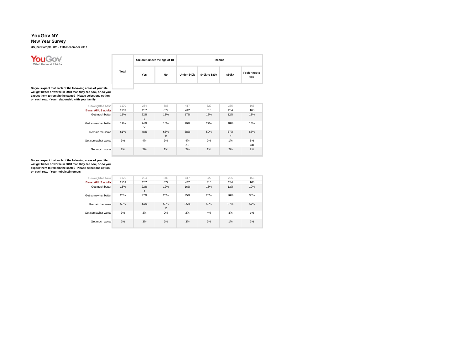### **New Year Survey**

**US\_nat Sample: 8th - 11th December 2017**



|       | Children under the age of 18 |    |             | Income         |        |                      |
|-------|------------------------------|----|-------------|----------------|--------|----------------------|
| Total | Yes                          | No | Under \$40k | \$40k to \$80k | \$80k+ | Prefer not to<br>say |

Do you expect that each of the following areas of your life<br>will get better or worse in 2018 than they are now, or do you<br>expect them to remain the same? Please select one option<br>on each row. - Your relationship with your

| Unweighted base            | 1170 | 284      | 885                 | 417      | 322 | 265      | 166      |
|----------------------------|------|----------|---------------------|----------|-----|----------|----------|
| <b>Base: All US adults</b> | 1159 | 287      | 872                 | 442      | 315 | 234      | 168      |
| Get much better            | 15%  | 22%<br>Y | 13%                 | 17%      | 16% | 12%      | 13%      |
| Get somewhat better        | 19%  | 24%<br>Υ | 18%                 | 20%      | 22% | 18%      | 14%      |
| Remain the same            | 61%  | 48%      | 65%<br>$\mathsf{x}$ | 58%      | 59% | 67%<br>Z | 65%      |
| Get somewhat worse         | 3%   | 4%       | 3%                  | 4%<br>AB | 2%  | 1%       | 5%<br>AB |
| Get much worse             | 2%   | 2%       | 1%                  | 2%       | 1%  | 2%       | 2%       |

| Unweighted base            | 1170 | 284      | 885      | 417 | 322 | 265 | 166 |
|----------------------------|------|----------|----------|-----|-----|-----|-----|
| <b>Base: All US adults</b> | 1159 | 287      | 872      | 442 | 315 | 234 | 168 |
| Get much better            | 15%  | 22%<br>Y | 12%      | 16% | 16% | 13% | 10% |
| Get somewhat better        | 26%  | 27%      | 26%      | 25% | 26% | 26% | 30% |
| Remain the same            | 55%  | 44%      | 59%<br>X | 55% | 53% | 57% | 57% |
| Get somewhat worse         | 3%   | 3%       | 2%       | 2%  | 4%  | 3%  | 1%  |
| Get much worse             | 2%   | 3%       | 2%       | 3%  | 2%  | 1%  | 2%  |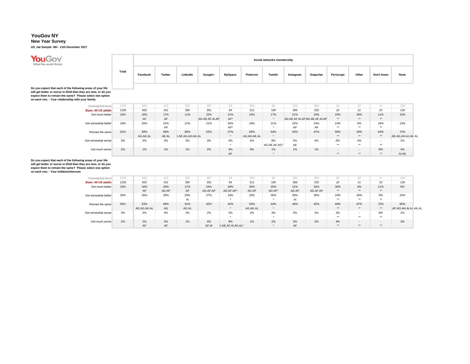**New Year Survey**

**US\_nat Sample: 8th - 11th December 2017**



|       |          |         |          |         |         |                  | Social networks membership |           |          |           |       |            |      |
|-------|----------|---------|----------|---------|---------|------------------|----------------------------|-----------|----------|-----------|-------|------------|------|
| Total | Facebook | Twitter | LinkedIn | Google+ | MySpace | <b>Pinterest</b> | Tumblr                     | Instagram | Snapchat | Periscope | Other | Don't know | None |

Do you expect that each of the following areas of your life<br>will get better or worse in 2018 than they are now, or do you<br>expect them to remain the same? Please select one option<br>on each row. - Your relationship with your

| Unweighted base            | 1170 | 934      | 414   | 322                     | 287            | 64        | 323         | 94           | 352 | 204                           | 24                       | 22               |     | 133               |
|----------------------------|------|----------|-------|-------------------------|----------------|-----------|-------------|--------------|-----|-------------------------------|--------------------------|------------------|-----|-------------------|
| <b>Base: All US adults</b> | 1159 | 925      | 421   | 305                     | 301            | 64        | 311         | 100          | 366 | 220                           | 22                       | 21               | 10  | 126               |
| Get much better            | 15%  | 16%      | 17%   | 11%                     | 22%            | 21%       | 14%         | 17%          | 21% | 24%                           | 19%                      | 36%              | 11% | 10%               |
|                            |      | AF       | AF    |                         | AD.AE.AF.AI.AP | AF*       |             |              |     | AD.AE.AF.AI.AP AD.AE.AF.AI.AP | **                       | $***$            | **  |                   |
| Get somewhat better        | 19%  | 20%      | 22%   | 21%                     | 21%            | 25%       | 19%         | 21%          | 22% | 24%                           | 14%                      | 6%               | 18% | 13%               |
|                            |      |          | AP    |                         |                | AP*       |             |              | AP  | AP                            | **                       | $\bullet\bullet$ | **  |                   |
| Remain the same            | 61%  | 59%      | 58%   | 65%                     | 52%            | 47%       | 63%         | 54%          | 52% | 47%                           | 59%                      | 54%              | 63% | 72%               |
|                            |      | AG.AK.AL | AK.AL | <b>J.AE.AG.AH.AK.AL</b> |                | $\bullet$ | AG.AH.AK.AL | ٠            |     |                               | **                       | $**$             | **  | AE.AG.AH.AJ.AK.AL |
| Get somewhat worse         | 3%   | 3%       | 3%    | 3%                      | 3%             | 4%        | 4%          | 8%           | 5%  | 4%                            | 8%                       | 4%               |     | 2%                |
|                            |      |          |       |                         |                | $\bullet$ |             | AD.AE.AF.AG* | AE  |                               | **                       | $\bullet\bullet$ | **  |                   |
| Get much worse             | 2%   | 1%       | 1%    | 1%                      | 2%             | 3%        | 0%          | $1\%$        | 1%  | 1%                            | $\overline{\phantom{a}}$ | $\sim$           | 8%  | 4%                |
|                            |      |          |       |                         |                | Al*       |             | ٠            |     |                               | **                       | **               | **  | AI.AK             |

| Unweighted base            | 1170 | 934         | 414   | 322   | 287      | 64                | 323      | 94        | 352   | 204      | 24    | 22                       |          | 133                  |
|----------------------------|------|-------------|-------|-------|----------|-------------------|----------|-----------|-------|----------|-------|--------------------------|----------|----------------------|
| <b>Base: All US adults</b> | 1159 | 925         | 421   | 305   | 301      | 64                | 311      | 100       | 366   | 220      | 22    | 21                       | 10       | 126                  |
| Get much better            | 15%  | 16%         | 20%   | 17%   | 24%      | 29%               | 20%      | 25%       | 21%   | 24%      | 30%   | 4%                       | 11%      | 6%                   |
|                            |      | AP          | AD.AP | AP    | AD.AF.AP | AD.AF.AP*         | AD.AP    | AD.AP*    | AD.AP | AD.AF.AP | **    | $***$                    | **       |                      |
| Get somewhat better        | 26%  | 26%         | 26%   | 29%   | 27%      | 19%               | 23%      | 26%       | 28%   | 30%      | 19%   | 29%                      | 9%       | 24%                  |
|                            |      |             |       | AI    |          | $\bullet$         |          | $\cdot$   | AI    |          | $***$ | $***$                    | $***$    |                      |
| Remain the same            | 55%  | 53%         | 49%   | 51%   | 42%      | 42%               | 53%      | 44%       | 46%   | 42%      | 44%   | 67%                      | 72%      | 65%                  |
|                            |      | AE.AG.AK.AL | AG    | AG.AL |          | $\bullet$         | AG.AK.AL | $\bullet$ |       |          | **    | **                       | **       | AF.AG.AH.AI.AJ.AK.AL |
| Get somewhat worse         | 3%   | 2%          | 4%    | 2%    | 2%       | 3%                | 2%       | 3%        | 3%    | 2%       | 3%    | $\overline{\phantom{a}}$ | 8%       | 2%                   |
|                            |      |             |       |       |          | $\bullet$         |          | $\cdot$   |       |          | $+ +$ | $***$                    | the con- |                      |
| Get much worse             | 2%   | 2%          | 3%    | 1%    | 4%       | 8%                | 1%       | 2%        | 3%    | 2%       | 4%    | $\sim$                   | $\sim$   | 3%                   |
|                            |      | AF          | AF    |       | AF.AI    | D.AE.AF.AI.AK.AL* |          |           | AF    |          | **    | **                       | **       |                      |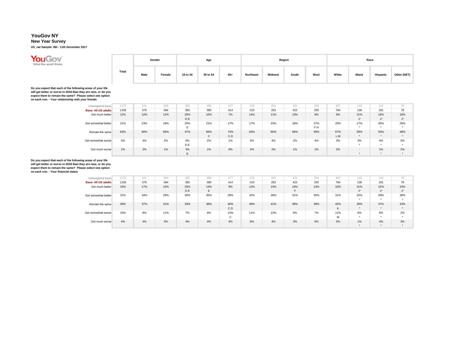### **New Year Survey**

**US\_nat Sample: 8th - 11th December 2017**



|       |      | Gender |          | Age      |       |           |                | Region |      |       |              | Race            |             |
|-------|------|--------|----------|----------|-------|-----------|----------------|--------|------|-------|--------------|-----------------|-------------|
| Total | Male | Female | 18 to 34 | 35 to 54 | $55+$ | Northeast | <b>Midwest</b> | South  | West | White | <b>Black</b> | <b>Hispanic</b> | Other (NET) |

Do you expect that each of the following areas of your life<br>will get better or worse in 2018 than they are now, or do you<br>expect them to remain the same? Please select one option<br>on each row. - Your relationship with your

| Unweighted base            | 1170 | 521 | 649 | 305            | 388          | 477   | 219 | 261 | 431 | 259 | 837 | 116                      | 142              | 75    |
|----------------------------|------|-----|-----|----------------|--------------|-------|-----|-----|-----|-----|-----|--------------------------|------------------|-------|
| <b>Base: All US adults</b> | 1159 | 575 | 584 | 365            | 380          | 414   | 219 | 263 | 422 | 255 | 764 | 136                      | 181              | 78    |
| Get much better            | 12%  | 12% | 12% | 20%            | 10%          | 7%    | 14% | 11% | 13% | 9%  | 9%  | 21%                      | 16%              | 18%   |
|                            |      |     |     | D.E            |              |       |     |     |     |     |     | $1 +$<br>J               | $1 +$<br>$\cdot$ | $1 +$ |
| Get somewhat better        | 21%  | 23% | 19% | 25%            | 21%          | 17%   | 17% | 23% | 18% | 27% | 20% | 17%                      | 26%              | 26%   |
|                            |      |     |     | -<br>ь.        |              |       |     |     |     | F.H |     | <b>A</b>                 | ٠                |       |
| Remain the same            | 63%  | 60% | 66% | 47%            | 66%          | 74%   | 63% | 60% | 66% | 59% | 67% | 59%                      | 53%              | 48%   |
|                            |      |     |     |                | $\mathsf{C}$ | C.D   |     |     |     |     | L.M | $\bullet$                | $\bullet$        |       |
| Get somewhat worse         | 3%   | 4%  | 2%  | 6%             | 2%           | $1\%$ | 5%  | 4%  | 2%  | 4%  | 3%  | 3%                       | 4%               | 5%    |
|                            |      |     |     | D.E            |              |       |     |     |     |     |     | $\bullet$                | ٠                |       |
| Get much worse             | 1%   | 2%  | 1%  | 3%             | $1\%$        | 0%    | 2%  | 2%  | 1%  | 1%  | 2%  | $\overline{\phantom{a}}$ | 1%               | 2%    |
|                            |      |     |     | $\blacksquare$ |              |       |     |     |     |     |     |                          | $\bullet$        |       |

| Unweighted base            | 1170 | 521 | 649 | 305 | 388 | 477         | 219 | 261 | 431 | 259 | 837 | 116         | 142              | 75           |
|----------------------------|------|-----|-----|-----|-----|-------------|-----|-----|-----|-----|-----|-------------|------------------|--------------|
| <b>Base: All US adults</b> | 1159 | 575 | 584 | 365 | 380 | 414         | 219 | 263 | 422 | 255 | 764 | 136         | 181              | 78           |
| Get much better            | 16%  | 17% | 15% | 25% | 14% | 9%          | 12% | 14% | 19% | 14% | 10% | 31%         | 22%              | 24%          |
|                            |      |     |     | D.E | E   |             |     |     |     |     |     | $J^{\star}$ | $1 +$<br>$\cdot$ | $1 + 1$<br>J |
| Get somewhat better        | 31%  | 34% | 29% | 30% | 35% | 28%         | 32% | 28% | 31% | 35% | 31% | 32%         | 29%              | 38%          |
|                            |      |     |     |     |     |             |     |     |     |     |     | $\bullet$   | $\bullet$        | ۰            |
| Remain the same            | 39%  | 37% | 41% | 33% | 38% | 46%         | 39% | 41% | 38% | 39% | 42% | 30%         | 37%              | 33%          |
|                            |      |     |     |     |     | C.D         |     |     |     |     | K   | $\bullet$   | $\bullet$        | $\ddot{}$    |
| Get somewhat worse         | 10%  | 8%  | 11% | 7%  | 9%  | 13%         | 11% | 12% | 9%  | 7%  | 11% | 6%          | 8%               | 2%           |
|                            |      |     |     |     |     | $\sim$<br>U |     |     |     |     | M   | $\bullet$   | $\bullet$        | ۰            |
| Get much worse             | 4%   | 4%  | 4%  | 4%  | 4%  | 4%          | 6%  | 4%  | 3%  | 5%  | 5%  | 1%          | 4%               | 3%           |
|                            |      |     |     |     |     |             |     |     |     |     |     | $\bullet$   | $\bullet$        | $\ddot{}$    |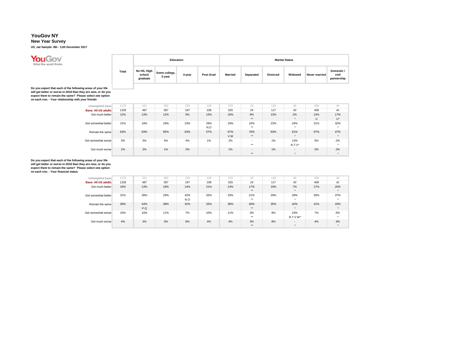**You Gov**<br>What the world thinks

### **New Year Survey**

**US\_nat Sample: 8th - 11th December 2017**

|       |                                   |                         | Education |                  |                |           |                 | <b>Marital Status</b> |               |                                    |
|-------|-----------------------------------|-------------------------|-----------|------------------|----------------|-----------|-----------------|-----------------------|---------------|------------------------------------|
| Total | No HS, High<br>school<br>graduate | Some college,<br>2-year | 4-year    | <b>Post Grad</b> | <b>Married</b> | Separated | <b>Divorced</b> | Widowed               | Never married | Domestic /<br>civil<br>partnership |

**Do you expect that each of the following areas of your life will get better or worse in 2018 than they are now, or do you expect them to remain the same? Please select one option on each row. - Your relationship with your friends**

| Unweighted base            | 1170 | 431 | 382 | 229 | 128    | 576 | 18                       | 128 | 45                       | 358    | 44  |
|----------------------------|------|-----|-----|-----|--------|-----|--------------------------|-----|--------------------------|--------|-----|
| <b>Base: All US adults</b> | 1159 | 487 | 367 | 197 | 108    | 525 | 24                       | 117 | 43                       | 409    | 41  |
| Get much better            | 12%  | 13% | 12% | 9%  | 13%    | 10% | 9%                       | 13% | 2%                       | 14%    | 17% |
|                            |      |     |     |     |        |     | $***$                    |     | $\bullet$                | $\cup$ | U*  |
| Get somewhat better        | 21%  | 19% | 19% | 23% | 29%    | 19% | 15%                      | 23% | 24%                      | 21%    | 32% |
|                            |      |     |     |     | N.O    |     | $***$                    |     | $\bullet$                |        | ۰   |
| Remain the same            | 63%  | 63% | 65% | 63% | 57%    | 67% | 76%                      | 63% | 61%                      | 57%    | 47% |
|                            |      |     |     |     |        | V.W | $***$                    |     | $\bullet$                |        |     |
| Get somewhat worse         | 3%   | 3%  | 4%  | 4%  | 1%     | 2%  | $\overline{\phantom{a}}$ | 1%  | 13%                      | 5%     | 2%  |
|                            |      |     |     |     |        |     | $***$                    |     | $R.T.V^*$                |        |     |
| Get much worse             | 1%   | 2%  | 1%  | 2%  | $\sim$ | 1%  | . .                      | 1%  | $\overline{\phantom{a}}$ | 2%     | 2%  |
|                            |      |     |     |     |        |     | $***$                    |     | $\bullet$                |        |     |

**Do you expect that each of the following areas of your life will get better or worse in 2018 than they are now, or do you expect them to remain the same? Please select one option on each row. - Your financial status**

> **Unweighted base** 1170<br> **Base: All US adults** 1159 **Base: All US adults** 1159<br>Get much better 16% Get much better Get somewhat better 31% Remain the same 39% Get somewhat worse 10% Get much worse 4% 431 382 229 128 576 *18* 128 *45* 358 *44* 487 367 197 108 525 *24* 117 *43* 409 *41* 13% 18% 14% 21% 14% *17%* 19% *7%* 17% *20%* \*\* \* \* 28% 29% 42% 33% 33% *21%* 29% *28%* 30% *37%* N.O | # \* | \* | \* | 44% 38% 32% 33% 38% *56%* 35% *42%* 41% *33%* P.Q \*\* \* \* 10% 11% 7% 10% 11% *3%* 9% *23%* 7% *6%* \*\* R.T.V.W\* \* 4% 3% 6% 4% 4% *3%* 8% *-* 4% *4%* \*\* \* \*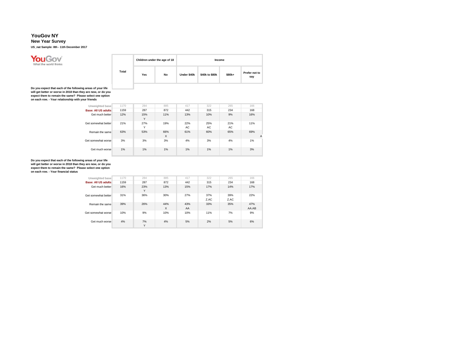### **New Year Survey**

**US\_nat Sample: 8th - 11th December 2017**



|       | Children under the age of 18 |    |             |                | Income |                      |
|-------|------------------------------|----|-------------|----------------|--------|----------------------|
| Total | Yes                          | No | Under \$40k | \$40k to \$80k | \$80k+ | Prefer not to<br>say |

Do you expect that each of the following areas of your life<br>will get better or worse in 2018 than they are now, or do you<br>expect them to remain the same? Please select one option<br>on each row. - Your relationship with your

| Unweighted base     | 1170 | 284      | 885      | 417        | 322       | 265        | 166      |
|---------------------|------|----------|----------|------------|-----------|------------|----------|
| Base: All US adults | 1159 | 287      | 872      | 442        | 315       | 234        | 168      |
| Get much better     | 12%  | 15%<br>Y | 11%      | 13%        | 10%       | 9%         | 16%      |
| Get somewhat better | 21%  | 27%<br>Y | 19%      | 22%<br>AC. | 25%<br>AC | 21%<br>AC. | 11%      |
| Remain the same     | 63%  | 53%      | 66%<br>X | 61%        | 60%       | 65%        | 69%<br>A |
| Get somewhat worse  | 3%   | 3%       | 3%       | 4%         | 3%        | 4%         | 1%       |
| Get much worse      | 1%   | 1%       | 1%       | 1%         | 1%        | 1%         | 3%       |

| Unweighted base            | 1170 | 284                | 885             | 417       | 322         | 265         | 166          |
|----------------------------|------|--------------------|-----------------|-----------|-------------|-------------|--------------|
| <b>Base: All US adults</b> | 1159 | 287                | 872             | 442       | 315         | 234         | 168          |
| Get much better            | 16%  | 23%<br>Y           | 13%             | 15%       | 17%         | 14%         | 17%          |
| Get somewhat better        | 31%  | 36%                | 30%             | 27%       | 37%<br>Z.AC | 39%<br>Z.AC | 22%          |
| Remain the same            | 39%  | 26%                | 44%<br>$\times$ | 43%<br>AA | 33%         | 35%         | 47%<br>AA.AB |
| Get somewhat worse         | 10%  | 9%                 | 10%             | 10%       | 11%         | 7%          | 9%           |
| Get much worse             | 4%   | 7%<br>$\checkmark$ | 4%              | 5%        | 2%          | 5%          | 6%           |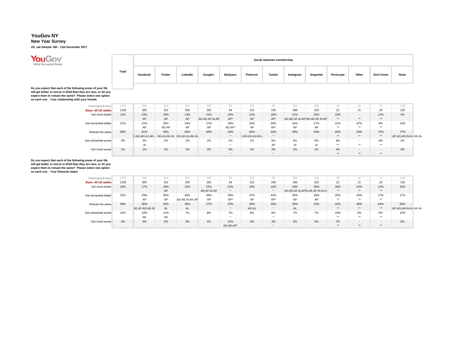**New Year Survey**

**US\_nat Sample: 8th - 11th December 2017**



|       |          |         |          |         |                |           | Social networks membership |           |          |           |       |            |      |
|-------|----------|---------|----------|---------|----------------|-----------|----------------------------|-----------|----------|-----------|-------|------------|------|
| Total | Facebook | Twitter | LinkedIn | Google+ | <b>MySpace</b> | Pinterest | Tumblr                     | Instagram | Snapchat | Periscope | Other | Don't know | None |

Do you expect that each of the following areas of your life<br>will get better or worse in 2018 than they are now, or do you<br>expect them to remain the same? Please select one option<br>on each row. - Your relationship with your

| Unweighted base            | 1170 | 934            | 414   | 322                        | 287            | 64        | 323            | 94      | 352 | 204                           | 24  | 22               |        | 133                  |
|----------------------------|------|----------------|-------|----------------------------|----------------|-----------|----------------|---------|-----|-------------------------------|-----|------------------|--------|----------------------|
| <b>Base: All US adults</b> | 1159 | 925            | 421   | 305                        | 301            | 64        | 311            | 100     | 366 | 220                           | 22  | 21               | 10     | 126                  |
| Get much better            | 12%  | 13%            | 15%   | 13%                        | 21%            | 19%       | 12%            | 18%     | 21% | 23%                           | 15% | $\sim$           | 11%    | 4%                   |
|                            |      | AP             | AP    | AP                         | AD.AE.AF.AI.AP | AP*       | AP             | $AP^*$  |     | AD.AE.AF.AI.AP AD.AE.AF.AI.AP | **  | **               | **     |                      |
| Get somewhat better        | 21%  | 22%            | 26%   | 24%                        | 27%            | 33%       | 23%            | 30%     | 24% | 27%                           | 21% | 47%              | 8%     | 13%                  |
|                            |      | AP             | AD.AP | AP                         | AP             | AD.AP*    | AP             | AP*     | AP  | AP                            | **  | $+ +$            | **     |                      |
| Remain the same            | 63%  | 61%            | 55%   | 60%                        | 48%            | 44%       | 63%            | 43%     | 49% | 44%                           | 56% | 53%              | 73%    | 77%                  |
|                            |      | E.AG.AH.AJ.AK. |       | AG.AJ.AK.AL AG.AH.AJ.AK.AL |                |           | E.AG.AH.AJ.AK. | $\cdot$ |     |                               | **  | **               | **     | AF.AG.AH.AI.AJ.AK.AL |
| Get somewhat worse         | 3%   | 3%             | 2%    | 2%                         | 2%             | $1\%$     | 1%             | 6%      | 4%  | 5%                            | 4%  | $\sim$           | 8%     | 2%                   |
|                            |      | AI             |       |                            |                | ٠         |                | Al*     | AI  | AI                            | **  | $\bullet\bullet$ | **     |                      |
| Get much worse             | 1%   | 1%             | 1%    | 1%                         | 2%             | 3%        | 1%             | 3%      | 2%  | 1%                            | 4%  | $\sim$           | $\sim$ | 3%                   |
|                            |      |                |       |                            |                | $\ddot{}$ |                | $\cdot$ |     |                               | **  | **               | **     |                      |

| Unweighted base     | 1170 | 934            | 414 | 322            | 287         | 64        | 323   | 94  | 352 | 204                           | 24    | 22             |        | 133                  |
|---------------------|------|----------------|-----|----------------|-------------|-----------|-------|-----|-----|-------------------------------|-------|----------------|--------|----------------------|
| Base: All US adults | 1159 | 925            | 421 | 305            | 301         | 64        | 311   | 100 | 366 | 220                           | 22    | 21             | 10     | 126                  |
| Get much better     | 16%  | 17%            | 18% | 15%            | 23%         | 21%       | 16%   | 16% | 23% | 28%                           | 30%   | 24%            | 11%    | 10%                  |
|                     |      |                | AP  |                | AD.AF.AI.AP |           |       |     |     | AD.AE.AF.AI.APD.AE.AF.AI.AJ.A | **    | **             | **     |                      |
| Get somewhat better | 31%  | 33%            | 36% | 45%            | 38%         | 39%       | 37%   | 42% | 35% | 38%                           | 25%   | 26%            | 17%    | 17%                  |
|                     |      | AP             | AP  | AD.AE.AI.AK.AP | AP          | AP*       | AP    | AP* | AP  | AP                            | $+ +$ | $***$          | **     |                      |
| Remain the same     | 39%  | 36%            | 32% | 30%            | 27%         | 24%       | 34%   | 30% | 30% | 22%                           | 22%   | 45%            | 64%    | 55%                  |
|                     |      | AE.AF.AG.AK.AL | AL  | <b>AL</b>      |             |           | AG.AL |     | AL. |                               | **    | **             | **     | AF.AG.AH.AI.AJ.AK.AL |
| Get somewhat worse  | 10%  | 10%            | 11% | 7%             | 8%          | 7%        | 8%    | 8%  | 7%  | 7%                            | 16%   | 5%             | 8%     | 12%                  |
|                     |      | AK             | AK  |                |             |           |       |     |     |                               | **    | $***$          | **     |                      |
| Get much worse      | 4%   | 4%             | 3%  | 3%             | 4%          | 10%       | 4%    | 3%  | 5%  | 5%                            | 7%    | $\overline{a}$ | $\sim$ | 6%                   |
|                     |      |                |     |                |             | AD.AE.AF* |       |     |     |                               | **    | **             | **     |                      |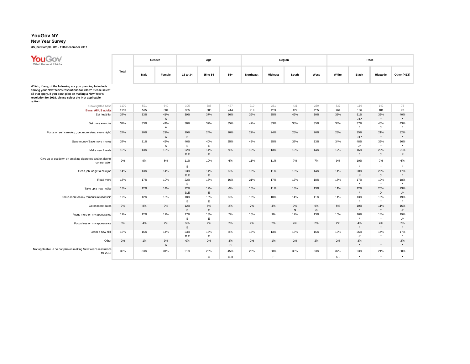#### **New Year Survey**

**US\_nat Sample: 8th - 11th December 2017**

| YouGov<br>What the world thinks                                                                                                                                                                                                                            |       |      | Gender              |                    | Age                 |                    |           |                | Region              |         |            |                           | Race                        |                           |
|------------------------------------------------------------------------------------------------------------------------------------------------------------------------------------------------------------------------------------------------------------|-------|------|---------------------|--------------------|---------------------|--------------------|-----------|----------------|---------------------|---------|------------|---------------------------|-----------------------------|---------------------------|
|                                                                                                                                                                                                                                                            | Total | Male | Female              | 18 to 34           | 35 to 54            | $55+$              | Northeast | <b>Midwest</b> | South               | West    | White      | <b>Black</b>              | Hispanic                    | Other (NET)               |
| Which, if any, of the following are you planning to include<br>among your New Year's resolutions for 2018? Please select<br>all that apply. If you don't plan on making a New Year's<br>resolution for 2018, please select the 'Not applicable'<br>option. |       |      |                     |                    |                     |                    |           |                |                     |         |            |                           |                             |                           |
| Unweighted base                                                                                                                                                                                                                                            | 1170  | 521  | 649                 | 305                | 388                 | 477                | 219       | 261            | 431                 | 259     | 837        | 116                       | 142                         | 75                        |
| <b>Base: All US adults</b>                                                                                                                                                                                                                                 | 1159  | 575  | 584                 | 365                | 380                 | 414                | 219       | 263            | 422                 | 255     | 764        | 136                       | 181                         | 78                        |
| Eat healthier                                                                                                                                                                                                                                              | 37%   | 33%  | 41%<br>$\mathsf{A}$ | 39%                | 37%                 | 36%                | 39%       | 35%            | 42%<br>$\mathbf{I}$ | 30%     | 36%        | 51%<br>$J.L^*$            | 33%<br>$^\star$             | 40%<br>$^\star$           |
| Get more exercise                                                                                                                                                                                                                                          | 37%   | 33%  | 41%<br>$\mathsf{A}$ | 38%                | 37%                 | 35%                | 42%       | 33%            | 38%                 | 35%     | 34%        | 37%<br>$\star$            | 46%<br>$\mathsf{J}^\star$   | 43%<br>$\star$            |
| Focus on self care (e.g., get more sleep every night)                                                                                                                                                                                                      | 24%   | 20%  | 29%<br>A            | 29%<br>$\mathsf E$ | 24%                 | 20%                | 22%       | 24%            | 25%                 | 26%     | 23%        | 35%<br>$J.L^*$            | 21%<br>$\star$              | 32%<br>$\star$            |
| Save money/Save more money                                                                                                                                                                                                                                 | 37%   | 31%  | 42%<br>A            | 46%<br>$\mathsf E$ | 40%<br>E            | 25%                | 42%       | 35%            | 37%                 | 33%     | 34%        | 48%<br>J*                 | 39%<br>$\star$              | 36%<br>$\star$            |
| Make new friends                                                                                                                                                                                                                                           | 15%   | 13%  | 16%                 | 22%<br>D.E         | 14%<br>$\mathsf E$  | 9%                 | 16%       | 13%            | 16%                 | 14%     | 12%        | 16%<br>$\star$            | 23%<br>$J^{\star}$          | 21%<br>$\mathsf{J}^\star$ |
| Give up or cut down on smoking cigarettes and/or alcohol<br>consumption                                                                                                                                                                                    | 9%    | 9%   | 8%                  | 11%<br>E           | 10%                 | 6%                 | 11%       | 11%            | 7%                  | 7%      | 9%         | 10%<br>$\star$            | 7%<br>$\star$               | 6%<br>$\star$             |
| Get a job, or get a new job                                                                                                                                                                                                                                | 14%   | 13%  | 14%                 | 23%<br>D.E         | 14%<br>$\mathsf E$  | 5%                 | 13%       | 11%            | 16%                 | 14%     | 11%        | 20%<br>$\mathsf{J}^\star$ | 20%<br>$\mathsf{J}^\star$   | 17%<br>$\star$            |
| Read more                                                                                                                                                                                                                                                  | 18%   | 17%  | 19%                 | 22%<br>$\mathsf E$ | 16%                 | 16%                | 21%       | 17%            | 17%                 | 18%     | 18%        | 17%<br>$\star$            | 19%<br>$\star$              | 18%<br>$\star$            |
| Take up a new hobby                                                                                                                                                                                                                                        | 13%   | 12%  | 14%                 | 22%<br>D.E         | 12%<br>$\mathsf E$  | 6%                 | 15%       | 11%            | 13%                 | 13%     | 11%        | 12%<br>$\star$            | 20%<br>$\mathsf{J}^\star$   | 23%<br>$\mathsf{J}^\star$ |
| Focus more on my romantic relationship                                                                                                                                                                                                                     | 12%   | 12%  | 13%                 | 18%<br>E           | 15%<br>E            | 5%                 | 13%       | 10%            | 14%                 | 11%     | 11%        | 13%<br>$\star$            | 13%<br>$\star$              | 19%<br>$\star$            |
| Go on more dates                                                                                                                                                                                                                                           | 7%    | 8%   | 7%                  | 12%<br>E           | 8%<br>E             | 2%                 | 7%        | 4%             | 9%<br>G             | 9%<br>G | 5%         | 10%<br>$\star$            | 11%<br>$\mathsf{J}^\star$   | 16%<br>$\mathsf{J}^\star$ |
| Focus more on my appearance                                                                                                                                                                                                                                | 12%   | 12%  | 12%                 | 17%<br>E           | 13%<br>E            | 7%                 | 15%       | 9%             | 12%                 | 13%     | 10%        | 16%<br>$\star$            | 14%<br>$\star$              | 19%<br>J*                 |
| Focus less on my appearance                                                                                                                                                                                                                                | 3%    | 4%   | 2%                  | 5%<br>$\mathsf E$  | 2%                  | 2%                 | 2%        | 2%             | 4%                  | 2%      | 2%         | 4%<br>$\star$             | 4%<br>$\star$               | 2%<br>$\star$             |
| Learn a new skill                                                                                                                                                                                                                                          | 15%   | 16%  | 14%                 | 23%<br>D.E         | 16%<br>E            | 8%                 | 15%       | 13%            | 15%                 | 16%     | 13%        | 26%<br>J*                 | 14%<br>$\star$              | 17%<br>$\star$            |
| Other                                                                                                                                                                                                                                                      | 2%    | 1%   | 3%<br>$\mathsf{A}$  | 0%                 | 2%                  | 3%<br>$\mathsf{C}$ | 2%        | 1%             | 2%                  | 2%      | 2%         | 3%<br>$\star$             | $\sim$<br>$\star$           | 2%<br>$^\star$            |
| Not applicable - I do not plan on making New Year's resolutions<br>for 2018                                                                                                                                                                                | 32%   | 33%  | 31%                 | 21%                | 29%<br>$\mathsf{C}$ | 45%<br>C.D         | 28%       | 38%<br>F       | 30%                 | 33%     | 37%<br>K.L | 23%<br>$\star$            | 21%<br>$\ddot{\phantom{1}}$ | 30%<br>$\star$            |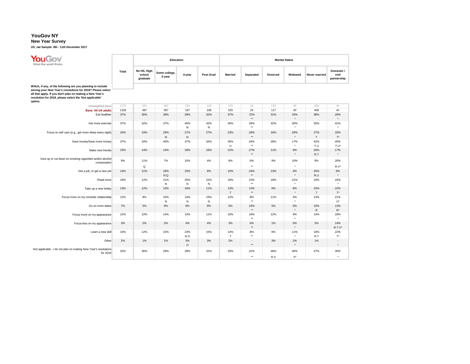#### **New Year Survey**

**US\_nat Sample: 8th - 11th December 2017**

| <b>YouGov</b><br>What the world thinks                                                                                                                                                                                                                     |       |                                   | Education               |                     |                     | <b>Marital Status</b> |                        |                 |                 |                     |                                     |  |  |
|------------------------------------------------------------------------------------------------------------------------------------------------------------------------------------------------------------------------------------------------------------|-------|-----------------------------------|-------------------------|---------------------|---------------------|-----------------------|------------------------|-----------------|-----------------|---------------------|-------------------------------------|--|--|
|                                                                                                                                                                                                                                                            | Total | No HS, High<br>school<br>graduate | Some college,<br>2-year | 4-year              | Post Grad           | <b>Married</b>        | Separated              | <b>Divorced</b> | Widowed         | Never married       | Domestic /<br>civil<br>partnership  |  |  |
| Which, if any, of the following are you planning to include<br>among your New Year's resolutions for 2018? Please select<br>all that apply. If you don't plan on making a New Year's<br>resolution for 2018, please select the 'Not applicable'<br>option. |       |                                   |                         |                     |                     |                       |                        |                 |                 |                     |                                     |  |  |
| Unweighted base                                                                                                                                                                                                                                            | 1170  | 431                               | 382                     | 229                 | 128                 | 576                   | 18                     | 128             | 45              | 358                 | 44                                  |  |  |
| <b>Base: All US adults</b>                                                                                                                                                                                                                                 | 1159  | 487                               | 367                     | 197                 | 108                 | 525                   | 24                     | 117             | 43              | 409                 | 41                                  |  |  |
| Eat healthier                                                                                                                                                                                                                                              | 37%   | 36%                               | 39%                     | 39%                 | 32%                 | 37%                   | 72%<br>$^{\star\star}$ | 31%             | 33%<br>$^\star$ | 38%                 | 29%<br>$\star$                      |  |  |
| Get more exercise                                                                                                                                                                                                                                          | 37%   | 32%                               | 37%                     | 45%<br>${\sf N}$    | 42%<br>${\sf N}$    | 40%                   | 34%<br>$\star\star$    | 32%             | 30%<br>$\star$  | 35%                 | 41%<br>$\star$                      |  |  |
| Focus on self care (e.g., get more sleep every night)                                                                                                                                                                                                      | 24%   | 19%                               | 29%<br>N                | 27%<br>$\,$ N       | 27%                 | 23%                   | 29%<br>$\star\star$    | 16%             | 29%<br>$\star$  | 27%<br>T.           | 33%<br>$T^*$                        |  |  |
| Save money/Save more money                                                                                                                                                                                                                                 | 37%   | 34%                               | 40%                     | 37%                 | 34%                 | 35%<br>U              | 43%<br>$\star\star$    | 28%             | 17%             | 42%<br>T.U          | 45%<br>$T.U^*$                      |  |  |
| Make new friends                                                                                                                                                                                                                                           | 15%   | 14%                               | 14%                     | 18%                 | 16%                 | 12%                   | 27%<br>$\star\star$    | 11%             | 8%<br>$\star$   | 20%<br>R.T          | 17%<br>$^\star$                     |  |  |
| Give up or cut down on smoking cigarettes and/or alcohol<br>consumption                                                                                                                                                                                    | 9%    | 11%<br>$\Omega$                   | 7%                      | 10%                 | 4%                  | 8%                    | 6%<br>$\star\star$     | 9%              | 10%<br>$\star$  | 9%                  | 20%<br>$R.V^*$                      |  |  |
| Get a job, or get a new job                                                                                                                                                                                                                                | 14%   | 11%                               | 18%<br>N.Q              | 15%                 | 8%                  | 10%                   | 24%<br>$\star\star$    | 13%             | 4%<br>$\star$   | 20%<br>R.U          | 9%<br>$\star$                       |  |  |
| Read more                                                                                                                                                                                                                                                  | 18%   | 12%                               | 21%<br>N                | 25%<br>$\mathbb{N}$ | 22%<br>$\mathsf{N}$ | 18%                   | 15%<br>$\star\star$    | 18%             | 21%<br>$\star$  | 18%                 | 16%<br>$^\star$                     |  |  |
| Take up a new hobby                                                                                                                                                                                                                                        | 13%   | 12%                               | 13%                     | 16%                 | 11%                 | 13%<br>$\top$         | 13%<br>$^{\star\star}$ | 6%              | 8%<br>$\star$   | 15%<br>$\top$       | 22%<br>$\mathsf{T}^\star$           |  |  |
| Focus more on my romantic relationship                                                                                                                                                                                                                     | 12%   | 8%                                | 15%<br>N                | 14%<br>$\mathbb{N}$ | 15%<br>${\sf N}$    | 12%                   | 8%<br>$\star\star$     | 11%             | 5%<br>$\star$   | 13%                 | 21%<br>U*                           |  |  |
| Go on more dates                                                                                                                                                                                                                                           | 7%    | 5%                                | 9%                      | 8%                  | 8%                  | 5%                    | 15%<br>$^{\star\star}$ | 5%              | 5%<br>$\star$   | 10%<br>$\mathsf{R}$ | 13%<br>$R^{\star}$                  |  |  |
| Focus more on my appearance                                                                                                                                                                                                                                | 12%   | 10%                               | 14%                     | 13%                 | 11%                 | 10%                   | 19%<br>$\star\star$    | 12%             | 9%<br>$\star$   | 14%                 | 18%<br>$\star$                      |  |  |
| Focus less on my appearance                                                                                                                                                                                                                                | 3%    | 2%                                | 2%                      | 4%                  | 4%                  | 3%                    | 6%<br>$\star\star$     | 1%              | 5%<br>$\star$   | 2%                  | 14%<br>$R.T.V^*$                    |  |  |
| Learn a new skill                                                                                                                                                                                                                                          | 15%   | 12%                               | 15%                     | 23%<br>N.O          | 15%                 | 14%<br>T              | 8%<br>$\star\star$     | 6%              | 11%<br>$\star$  | 19%<br>R.T          | 22%<br>$\mathsf{T}^\star$           |  |  |
| Other                                                                                                                                                                                                                                                      | 2%    | 1%                                | 1%                      | 3%<br>$\circ$       | 3%                  | 2%                    | ٠<br>$\star\star$      | 3%              | 2%<br>$\star$   | 1%                  | $\overline{\phantom{a}}$<br>$\star$ |  |  |
| Not applicable - I do not plan on making New Year's resolutions<br>for 2018                                                                                                                                                                                | 32%   | 36%                               | 29%                     | 28%                 | 31%                 | 33%                   | 22%<br>$\star\star$    | 46%<br>R.V      | 46%<br>$V^*$    | 27%                 | 30%<br>$\star$                      |  |  |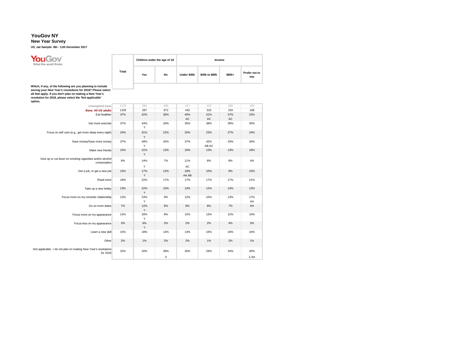**You Gov**<br>What the world thinks

#### **New Year Survey**

**US\_nat Sample: 8th - 11th December 2017**

|       |     | Children under the age of 18 | Income      |                |        |                      |  |  |  |  |
|-------|-----|------------------------------|-------------|----------------|--------|----------------------|--|--|--|--|
| Total | Yes | No                           | Under \$40k | \$40k to \$80k | \$80k+ | Prefer not to<br>say |  |  |  |  |

Which, if any, of the following are you planning to include<br>among your New Year's resolutions for 2018? Please select<br>all that apply. If you don't plan on making a New Year's<br>resolution for 2018, please select the 'Not app

| JUUH.                                                                       |      |          |     |              |              |           |           |
|-----------------------------------------------------------------------------|------|----------|-----|--------------|--------------|-----------|-----------|
| Unweighted base                                                             | 1170 | 284      | 885 | 417          | 322          | 265       | 166       |
| <b>Base: All US adults</b>                                                  | 1159 | 287      | 872 | 442          | 315          | 234       | 168       |
| Eat healthier                                                               | 37%  | 42%      | 36% | 40%<br>AC    | 41%<br>AC    | 37%<br>AC | 23%       |
| Get more exercise                                                           | 37%  | 44%<br>Y | 34% | 35%          | 38%          | 39%       | 35%       |
| Focus on self care (e.g., get more sleep every night)                       | 24%  | 31%<br>Y | 22% | 25%          | 23%          | 27%       | 24%       |
| Save money/Save more money                                                  | 37%  | 49%<br>Y | 32% | 37%          | 42%<br>AB.AC | 33%       | 30%       |
| Make new friends                                                            | 15%  | 21%<br>Y | 13% | 16%          | 13%          | 13%       | 18%       |
| Give up or cut down on smoking cigarettes and/or alcohol<br>consumption     | 9%   | 14%<br>Y | 7%  | 11%<br>AC    | 8%           | 8%        | 4%        |
| Get a job, or get a new job                                                 | 14%  | 17%<br>Y | 12% | 18%<br>AA.AB | 10%          | 9%        | 15%       |
| Read more                                                                   | 18%  | 22%      | 17% | 17%          | 17%          | 17%       | 21%       |
| Take up a new hobby                                                         | 13%  | 22%<br>Y | 10% | 13%          | 12%          | 14%       | 13%       |
| Focus more on my romantic relationship                                      | 12%  | 23%<br>Y | 9%  | 12%          | 10%          | 13%       | 17%<br>AA |
| Go on more dates                                                            | 7%   | 12%<br>Y | 6%  | 8%           | 8%           | 7%        | 4%        |
| Focus more on my appearance                                                 | 12%  | 20%<br>Υ | 9%  | 12%          | 13%          | 12%       | 10%       |
| Focus less on my appearance                                                 | 3%   | 6%<br>Y  | 2%  | 2%           | 2%           | 4%        | 3%        |
| Learn a new skill                                                           | 15%  | 18%      | 14% | 13%          | 16%          | 16%       | 16%       |
| Other                                                                       | 2%   | 1%       | 2%  | 2%           | 1%           | 2%        | 1%        |
| Not applicable - I do not plan on making New Year's resolutions<br>for 2018 | 32%  | 20%      | 36% | 30%          | 29%          | 34%       | 40%       |
|                                                                             |      |          | X   |              |              |           | Z.AA      |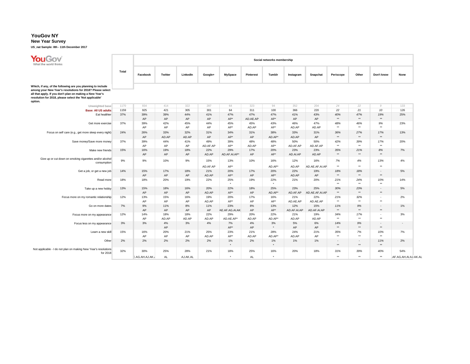# **New Year Survey**

**US\_nat Sample: 8th - 11th December 2017**

| <b>YouGov</b><br>What the world thinks                                                                                                                                                                                                                     |       | Social networks membership |              |                 |                 |                       |                  |                   |                    |                       |                        |                            |                        |                              |  |
|------------------------------------------------------------------------------------------------------------------------------------------------------------------------------------------------------------------------------------------------------------|-------|----------------------------|--------------|-----------------|-----------------|-----------------------|------------------|-------------------|--------------------|-----------------------|------------------------|----------------------------|------------------------|------------------------------|--|
|                                                                                                                                                                                                                                                            | Total | Facebook                   | Twitter      | LinkedIn        | Google+         | <b>MySpace</b>        | Pinterest        | Tumblr            | Instagram          | Snapchat              | Periscope              | Other                      | Don't know             | None                         |  |
| Which, if any, of the following are you planning to include<br>among your New Year's resolutions for 2018? Please select<br>all that apply. If you don't plan on making a New Year's<br>resolution for 2018, please select the 'Not applicable'<br>option. |       |                            |              |                 |                 |                       |                  |                   |                    |                       |                        |                            |                        |                              |  |
| Unweighted base                                                                                                                                                                                                                                            | 1170  | 934                        | 414          | 322             | 287             | 64                    | 323              | 94                | 352                | 204                   | 24                     | 22                         | 9                      | 133                          |  |
| <b>Base: All US adults</b>                                                                                                                                                                                                                                 | 1159  | 925                        | 421          | 305             | 301             | 64                    | 311              | 100               | 366                | 220                   | 22                     | 21                         | 10                     | 126                          |  |
| Eat healthier                                                                                                                                                                                                                                              | 37%   | 39%                        | 39%          | 44%             | 41%             | 47%                   | 47%              | 47%               | 41%                | 43%                   | 40%                    | 47%                        | 19%                    | 25%                          |  |
|                                                                                                                                                                                                                                                            |       | AP                         | AP           | AP              | AP              | AP*                   | AD.AE.AP         | AP*               | AP                 | AP                    | $\star\star$           | $\star\star$               | $\star\star$           |                              |  |
| Get more exercise                                                                                                                                                                                                                                          | 37%   | 39%<br>AP                  | 42%<br>AP    | 45%<br>AP       | 44%<br>AP       | 45%<br>AP*            | 45%<br>AD.AP     | 43%<br>$AP^*$     | 46%<br>AD.AP       | 47%<br>AD.AP          | 48%<br>$+ +$           | 46%<br>$\star\star$        | 9%<br>$\star\star$     | 23%                          |  |
| Focus on self care (e.g., get more sleep every night)                                                                                                                                                                                                      | 24%   | 26%<br>AP                  | 33%<br>AD.AP | 32%<br>AD.AP    | 31%<br>AP       | 34%<br>AP*            | 31%<br>AP        | 38%<br>AD.AP*     | 33%<br>AD.AP       | 31%<br>AP             | 36%<br>$\star\star$    | 27%<br>$**$                | 17%<br>$\star\star$    | 13%                          |  |
| Save money/Save more money                                                                                                                                                                                                                                 | 37%   | 39%<br>AP                  | 44%<br>AP    | 41%<br>AP       | 49%<br>AD.AF.AP | 39%<br>AP*            | 48%<br>AD.AP     | 48%<br>AP*        | 50%<br>AD.AF.AP    | 50%<br>AD.AF.AP       | 42%<br>$+ +$           | 39%<br>$***$               | 17%<br>$\star\star$    | 20%                          |  |
| Make new friends                                                                                                                                                                                                                                           | 15%   | 16%<br>AP                  | 19%<br>AP    | 18%<br>AP       | 22%<br>AD.AP    | 29%<br>AD.AF.AI.AP*   | 17%<br>AP        | 20%<br>AP*        | 23%<br>AD.AI.AP    | 23%<br>AD.AP          | 35%<br>$\star\star$    | 21%<br>$\star\star$        | 8%<br>$\star\star$     | 7%                           |  |
| Give up or cut down on smoking cigarettes and/or alcohol<br>consumption                                                                                                                                                                                    | 9%    | 9%                         | 10%          | 9%              | 15%<br>AD.AF.AP | 13%<br>AP*            | 10%              | 16%<br>AD.AP*     | 12%<br>AD.AP       | 16%<br>AD.AE.AF.AI.AP | 7%<br>$\star\star$     | 4%<br>$\star\star$         | 13%<br>$+ +$           | 4%                           |  |
| Get a job, or get a new job                                                                                                                                                                                                                                | 14%   | 15%                        | 17%          | 18%             | 21%             | 20%                   | 17%              | 20%               | 22%                | 19%                   | 18%                    | 18%                        | $\sim$                 | 5%                           |  |
|                                                                                                                                                                                                                                                            |       | AP                         | AP           | AP              | AD.AP           | AP*                   | AP               | AP*               | AD.AP              | AP                    | $\star\star$           | $\star\star$               | $\star\star$           |                              |  |
| Read more                                                                                                                                                                                                                                                  | 18%   | 18%                        | 20%          | 19%             | 22%             | 25%<br>$\star$        | 19%              | 22%<br>$\star$    | 21%                | 20%                   | 21%<br>$\star\star$    | 24%<br>$\star\star$        | 10%<br>$\star\star$    | 14%                          |  |
| Take up a new hobby                                                                                                                                                                                                                                        | 13%   | 15%<br>AP                  | 18%<br>AP    | 16%<br>AP       | 20%<br>AD.AP    | 22%<br>AP*            | 18%<br>AP        | 25%<br>AD.AP*     | 23%<br>AD.AF.AP    | 25%<br>AD.AE.AF.AI.AP | 30%<br>$\star\star$    | 23%<br>$\star\star$        | $\sim$<br>$**$         | 5%                           |  |
| Focus more on my romantic relationship                                                                                                                                                                                                                     | 12%   | 13%<br>AP                  | 15%<br>AP    | 16%<br>AP       | 19%<br>AD.AP    | 20%<br>AP*            | 17%<br>AP        | 16%<br>AP*        | 21%<br>AD.AE.AP    | 22%<br>AD.AE.AP       | 21%<br>$\star\star$    | 32%<br>$\star\star$        | $\sim$<br>$\star\star$ | 2%                           |  |
| Go on more dates                                                                                                                                                                                                                                           | 7%    | 9%<br>AP                   | 11%<br>AP    | 8%<br>AP        | 11%<br>AP       | 23%<br>AE.AF.AG.AI.AK | 8%<br>AP         | 13%<br>AP*        | 12%<br>AD.AF.AI.AP | 15%<br>AD.AF.AI.AP    | 11%<br>$\star\star$    | 9%<br>$\star\star$         | $\sim$<br>$**$         | 1%                           |  |
| Focus more on my appearance                                                                                                                                                                                                                                | 12%   | 14%<br>AP                  | 18%<br>AD.AP | 18%<br>AD.AP    | 22%<br>AD.AP    | 29%<br>AD.AE.AP*      | 20%<br>AD.AP     | 22%<br>AD.AP*     | 21%<br>AD.AP       | 19%<br>AD.AP          | 34%<br>$+ +$           | 17%<br>$***$               | $\sim$<br>$\star\star$ | 3%                           |  |
| Focus less on my appearance                                                                                                                                                                                                                                | 3%    | 3%                         | 4%<br>AP     | 3%              | 4%              | 7%<br>AP*             | 4%<br>AP         | 3%<br>$\star$     | 5%<br>AP           | 6%<br>AP              | 14%<br>$\star\star$    | 9%<br>$**$                 | $\sim$<br>$\star\star$ | $\sim$                       |  |
| Learn a new skill                                                                                                                                                                                                                                          | 15%   | 16%<br>AP                  | 20%<br>AP    | 21%<br>AP       | 25%<br>AD.AP    | 23%<br>AP*            | 21%<br>AD.AP     | 28%<br>AD.AP*     | 24%<br>AD.AP       | 21%<br>AP             | 35%<br>$\star\star$    | 7%<br>$\ddot{\phantom{0}}$ | 10%<br>$\star\star$    | 7%                           |  |
| Other                                                                                                                                                                                                                                                      | 2%    | 2%                         | 2%           | 2%              | 2%              | $1\%$<br>$\star$      | 2%               | $1\%$<br>$^\star$ | 1%                 | 1%                    | $\sim$<br>$\star\star$ | $\sim$<br>$\star\star$     | 11%<br>$\star\star$    | 2%                           |  |
| Not applicable - I do not plan on making New Year's resolutions<br>for 2018                                                                                                                                                                                | 32%   | 30%<br>E.AG.AH.AJ.AK.      | 25%<br>AL.   | 28%<br>AJ.AK.AL | 21%             | 18%<br>$\star$        | 25%<br><b>AL</b> | 16%<br>$\star$    | 20%                | 18%                   | 31%<br>$***$           | 39%<br>$+ +$               | 40%<br>$\star\star$    | 54%<br>.AF.AG.AH.AI.AJ.AK.AL |  |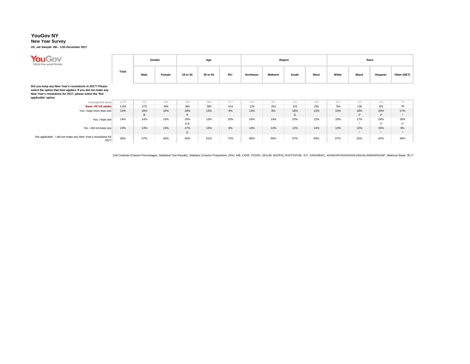#### **New Year Survey**

**US\_nat Sample: 8th - 11th December 2017**

| YouGov<br>What the world thinks                                                                                                                                                                           |       | Gender   |        | Age        |          |       | Region    |                |          |      | Race  |                    |                                |                |
|-----------------------------------------------------------------------------------------------------------------------------------------------------------------------------------------------------------|-------|----------|--------|------------|----------|-------|-----------|----------------|----------|------|-------|--------------------|--------------------------------|----------------|
|                                                                                                                                                                                                           | Total | Male     | Female | 18 to 34   | 35 to 54 | $55+$ | Northeast | <b>Midwest</b> | South    | West | White | <b>Black</b>       | Hispanic                       | Other (NET)    |
| Did you keep any New Year's resolutions in 2017? Please<br>select the option that best applies. If you did not make any<br>New Year's resolutions for 2017, please select the 'Not<br>applicable' option. |       |          |        |            |          |       |           |                |          |      |       |                    |                                |                |
| Unweighted base                                                                                                                                                                                           | 1170  | 521      | 649    | 305        | 388      | 477   | 219       | 261            | 431      | 259  | 837   | 116                | 142                            | 75             |
| <b>Base: All US adults</b>                                                                                                                                                                                | 1159  | 575      | 584    | 365        | 380      | 414   | 219       | 263            | 422      | 255  | 764   | 136                | 181                            | 78             |
| Yes, I kept more than one                                                                                                                                                                                 | 13%   | 16%<br>В | 10%    | 18%<br>E   | 13%      | 9%    | 13%       | 8%             | 16%<br>G | 13%  | 10%   | 18%<br>$J^{\star}$ | 20%<br>$J^*$                   | 17%<br>$\star$ |
| Yes, I kept one                                                                                                                                                                                           | 14%   | 14%      | 15%    | 20%<br>D.E | 13%      | 10%   | 16%       | 14%            | 15%      | 12%  | 10%   | 17%                | 24%<br>$\mathbf{R}$<br>$\cdot$ | 26%<br>J*      |
| No, I did not keep any                                                                                                                                                                                    | 13%   | 13%      | 13%    | 17%<br>E   | 13%      | 9%    | 14%       | 12%            | 12%      | 14%  | 13%   | 12%<br>$\star$     | 15%<br>$\star$                 | 9%<br>$\star$  |
| Not applicable - I did not make any New Year's resolutions for<br>2017                                                                                                                                    | 60%   | 57%      | 63%    | 45%        | 61%      | 72%   | 58%       | 66%            | 57%      | 60%  | 67%   | 52%                | 42%                            | 48%            |

Cell Contents (Column Percentages, Statistical Test Results), Statistics (Column Proportions, (5%): A/B, C/D/E, F/G/H/I, J/K/L/M, N/O/P/Q, R/S/T/U/V/W, X/Y, Z/AA/AB/AC, AD/AE/AF/AG/AH/AI/AJ/AK/AL/AM/AN/AO/AP, Minimum Base: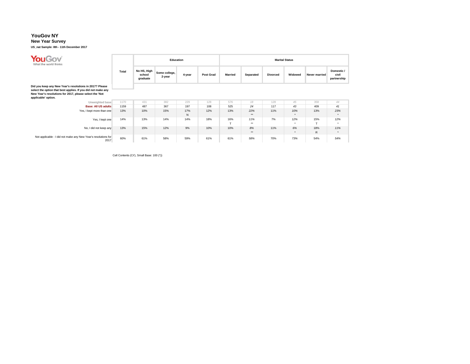#### **New Year Survey**

**US\_nat Sample: 8th - 11th December 2017**

| <b>You Gov</b><br>What the world thinks                                                                                                        |              | Education                         |                         |                     | <b>Marital Status</b> |                     |                     |                 |                  |                       |                                    |  |
|------------------------------------------------------------------------------------------------------------------------------------------------|--------------|-----------------------------------|-------------------------|---------------------|-----------------------|---------------------|---------------------|-----------------|------------------|-----------------------|------------------------------------|--|
|                                                                                                                                                | <b>Total</b> | No HS, High<br>school<br>graduate | Some college,<br>2-year | 4-year              | <b>Post Grad</b>      | <b>Married</b>      | Separated           | <b>Divorced</b> | Widowed          | Never married         | Domestic /<br>civil<br>partnership |  |
| Did you keep any New Year's resolutions in 2017? Please                                                                                        |              |                                   |                         |                     |                       |                     |                     |                 |                  |                       |                                    |  |
| select the option that best applies. If you did not make any<br>New Year's resolutions for 2017, please select the 'Not<br>applicable' option. |              |                                   |                         |                     |                       |                     |                     |                 |                  |                       |                                    |  |
| Unweighted base                                                                                                                                | 1170         | 431                               | 382                     | 229                 | 128                   | 576                 | 18                  | 128             | 45               | 358                   | 44                                 |  |
| <b>Base: All US adults</b>                                                                                                                     | 1159         | 487                               | 367                     | 197                 | 108                   | 525                 | 24                  | 117             | 43               | 409                   | 41                                 |  |
| Yes, I kept more than one                                                                                                                      | 13%          | 10%                               | 15%                     | 17%<br>$\mathsf{N}$ | 12%                   | 13%                 | 22%<br>$***$        | 11%             | 10%<br>$\star$   | 13%                   | 23%<br>$\star$                     |  |
| Yes, I kept one                                                                                                                                | 14%          | 13%                               | 14%                     | 14%                 | 18%                   | 16%<br>$\mathbf{r}$ | 11%<br>$\star\star$ | 7%              | 12%<br>$\bullet$ | 15%<br>$\mathbf \tau$ | 12%<br>۰                           |  |
| No, I did not keep any                                                                                                                         | 13%          | 15%                               | 12%                     | 9%                  | 10%                   | 10%                 | 8%<br>$***$         | 11%             | 6%<br>٠          | 18%<br>$\mathsf{R}$   | 11%<br>$\star$                     |  |
| Not applicable - I did not make any New Year's resolutions for<br>2017                                                                         | 60%          | 61%                               | 58%                     | 59%                 | 61%                   | 61%                 | 58%                 | 70%             | 73%              | 54%                   | 54%                                |  |

 $\mathsf{Cell}$  Cell Contents  $(\mathsf{C}\mathfrak{c}^*),$  Small Base: 100  $(^*)$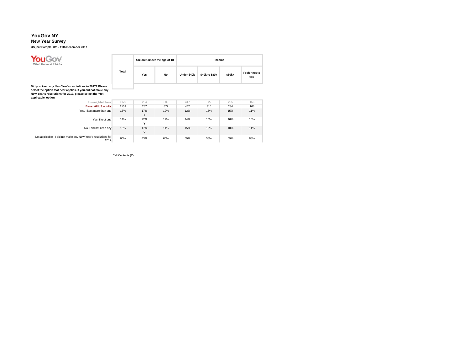#### **New Year Survey**

**US\_nat Sample: 8th - 11th December 2017**

| <b>YouGov</b><br>What the world thinks                                                                                                                                             |       |          | Children under the age of 18 | Income      |                |        |                      |  |  |
|------------------------------------------------------------------------------------------------------------------------------------------------------------------------------------|-------|----------|------------------------------|-------------|----------------|--------|----------------------|--|--|
|                                                                                                                                                                                    | Total | Yes      | No                           | Under \$40k | \$40k to \$80k | \$80k+ | Prefer not to<br>say |  |  |
| Did you keep any New Year's resolutions in 2017? Please<br>select the option that best applies. If you did not make any<br>New Year's resolutions for 2017, please select the 'Not |       |          |                              |             |                |        |                      |  |  |
| applicable' option.<br>Unweighted base                                                                                                                                             | 1170  | 284      | 885                          | 417         | 322            | 265    | 166                  |  |  |
| <b>Base: All US adults</b>                                                                                                                                                         | 1159  | 287      | 872                          | 442         | 315            | 234    | 168                  |  |  |
| Yes, I kept more than one                                                                                                                                                          | 13%   | 17%<br>Y | 12%                          | 12%         | 15%            | 15%    | 11%                  |  |  |
| Yes, I kept one                                                                                                                                                                    | 14%   | 22%<br>Y | 12%                          | 14%         | 15%            | 16%    | 10%                  |  |  |
| No, I did not keep any                                                                                                                                                             | 13%   | 17%<br>Y | 11%                          | 15%         | 12%            | 10%    | 11%                  |  |  |
| Not applicable - I did not make any New Year's resolutions for<br>2017                                                                                                             | 60%   | 43%      | 65%                          | 59%         | 58%            | 59%    | 68%                  |  |  |

Cell Contents (Co